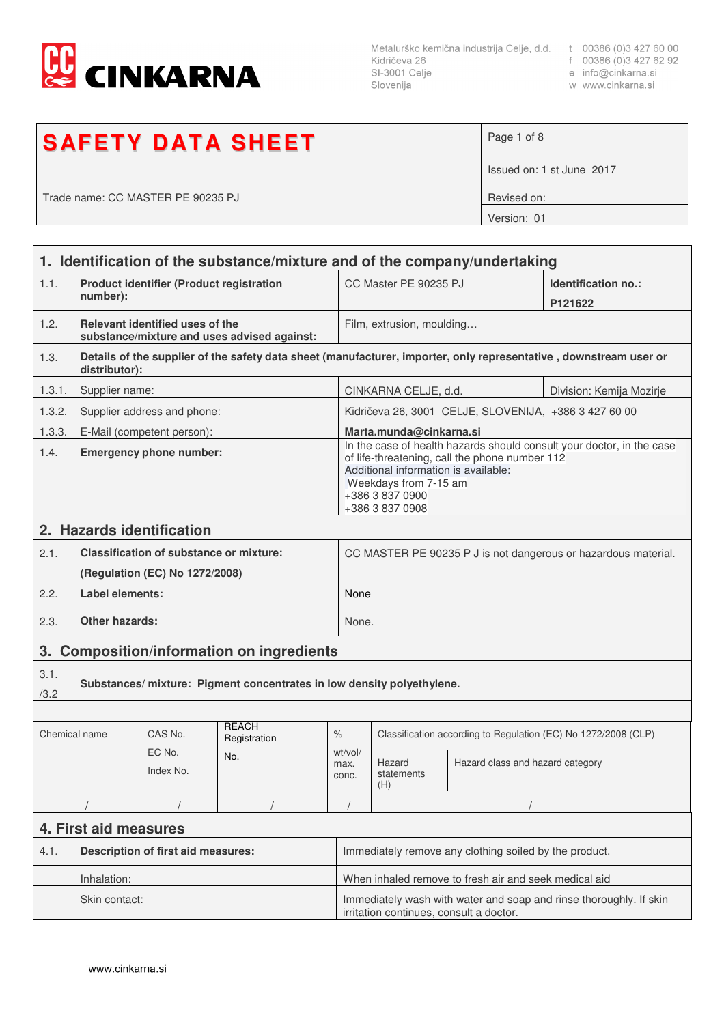

Metalurško kemična industrija Celje, d.d. t 00386 (0)3 427 60 00<br>Kidričeva 26 f 00386 (0)3 427 62 92<br>SI-3001 Celje e info@cinkarna.si<br>Slovenija w www.cinkarna.si Slovenija

- 
- 
- w www.cinkarna.si

| <b>SAFETY DATA SHEET</b>          | Page 1 of 8               |
|-----------------------------------|---------------------------|
|                                   | Issued on: 1 st June 2017 |
| Trade name: CC MASTER PE 90235 PJ | Revised on:               |
|                                   | Version: 01               |

|               | 1. Identification of the substance/mixture and of the company/undertaking |                                                 |                                             |                                                                                                                                                                                                                                |                                                                |                                                       |                                                                                                                   |  |
|---------------|---------------------------------------------------------------------------|-------------------------------------------------|---------------------------------------------|--------------------------------------------------------------------------------------------------------------------------------------------------------------------------------------------------------------------------------|----------------------------------------------------------------|-------------------------------------------------------|-------------------------------------------------------------------------------------------------------------------|--|
| 1.1.          | number):                                                                  | <b>Product identifier (Product registration</b> |                                             |                                                                                                                                                                                                                                | CC Master PE 90235 PJ                                          |                                                       | Identification no.:<br>P121622                                                                                    |  |
| 1.2.          |                                                                           | Relevant identified uses of the                 | substance/mixture and uses advised against: |                                                                                                                                                                                                                                | Film, extrusion, moulding                                      |                                                       |                                                                                                                   |  |
| 1.3.          | distributor):                                                             |                                                 |                                             |                                                                                                                                                                                                                                |                                                                |                                                       | Details of the supplier of the safety data sheet (manufacturer, importer, only representative, downstream user or |  |
| 1.3.1.        | Supplier name:                                                            |                                                 |                                             |                                                                                                                                                                                                                                | CINKARNA CELJE, d.d.<br>Division: Kemija Mozirje               |                                                       |                                                                                                                   |  |
| 1.3.2.        |                                                                           | Supplier address and phone:                     |                                             |                                                                                                                                                                                                                                |                                                                | Kidričeva 26, 3001 CELJE, SLOVENIJA, +386 3 427 60 00 |                                                                                                                   |  |
| 1.3.3.        |                                                                           | E-Mail (competent person):                      |                                             |                                                                                                                                                                                                                                | Marta.munda@cinkarna.si                                        |                                                       |                                                                                                                   |  |
| 1.4.          | <b>Emergency phone number:</b>                                            |                                                 |                                             | In the case of health hazards should consult your doctor, in the case<br>of life-threatening, call the phone number 112<br>Additional information is available:<br>Weekdays from 7-15 am<br>+386 3 837 0900<br>+386 3 837 0908 |                                                                |                                                       |                                                                                                                   |  |
|               |                                                                           | 2. Hazards identification                       |                                             |                                                                                                                                                                                                                                |                                                                |                                                       |                                                                                                                   |  |
| 2.1.          |                                                                           | <b>Classification of substance or mixture:</b>  |                                             |                                                                                                                                                                                                                                | CC MASTER PE 90235 P J is not dangerous or hazardous material. |                                                       |                                                                                                                   |  |
|               | (Regulation (EC) No 1272/2008)                                            |                                                 |                                             |                                                                                                                                                                                                                                |                                                                |                                                       |                                                                                                                   |  |
| 2.2.          | Label elements:                                                           |                                                 |                                             | None                                                                                                                                                                                                                           |                                                                |                                                       |                                                                                                                   |  |
| 2.3.          | <b>Other hazards:</b>                                                     |                                                 |                                             |                                                                                                                                                                                                                                | None.                                                          |                                                       |                                                                                                                   |  |
| 3.            | <b>Composition/information on ingredients</b>                             |                                                 |                                             |                                                                                                                                                                                                                                |                                                                |                                                       |                                                                                                                   |  |
| 3.1.<br>/3.2  | Substances/mixture: Pigment concentrates in low density polyethylene.     |                                                 |                                             |                                                                                                                                                                                                                                |                                                                |                                                       |                                                                                                                   |  |
|               |                                                                           |                                                 |                                             |                                                                                                                                                                                                                                |                                                                |                                                       |                                                                                                                   |  |
| Chemical name |                                                                           | CAS No.                                         | <b>REACH</b><br>Registration                | $\%$                                                                                                                                                                                                                           | Classification according to Regulation (EC) No 1272/2008 (CLP) |                                                       |                                                                                                                   |  |
|               |                                                                           | EC No.<br>Index No.                             | No.                                         | wt/vol/<br>max.<br>conc.                                                                                                                                                                                                       | Hazard<br>statements<br>(H)                                    | Hazard class and hazard category                      |                                                                                                                   |  |
|               |                                                                           |                                                 |                                             |                                                                                                                                                                                                                                |                                                                |                                                       |                                                                                                                   |  |
|               | 4. First aid measures                                                     |                                                 |                                             |                                                                                                                                                                                                                                |                                                                |                                                       |                                                                                                                   |  |
| 4.1.          | <b>Description of first aid measures:</b>                                 |                                                 |                                             |                                                                                                                                                                                                                                | Immediately remove any clothing soiled by the product.         |                                                       |                                                                                                                   |  |
|               | Inhalation:                                                               |                                                 |                                             |                                                                                                                                                                                                                                | When inhaled remove to fresh air and seek medical aid          |                                                       |                                                                                                                   |  |
|               | Skin contact:                                                             |                                                 |                                             | Immediately wash with water and soap and rinse thoroughly. If skin<br>irritation continues, consult a doctor.                                                                                                                  |                                                                |                                                       |                                                                                                                   |  |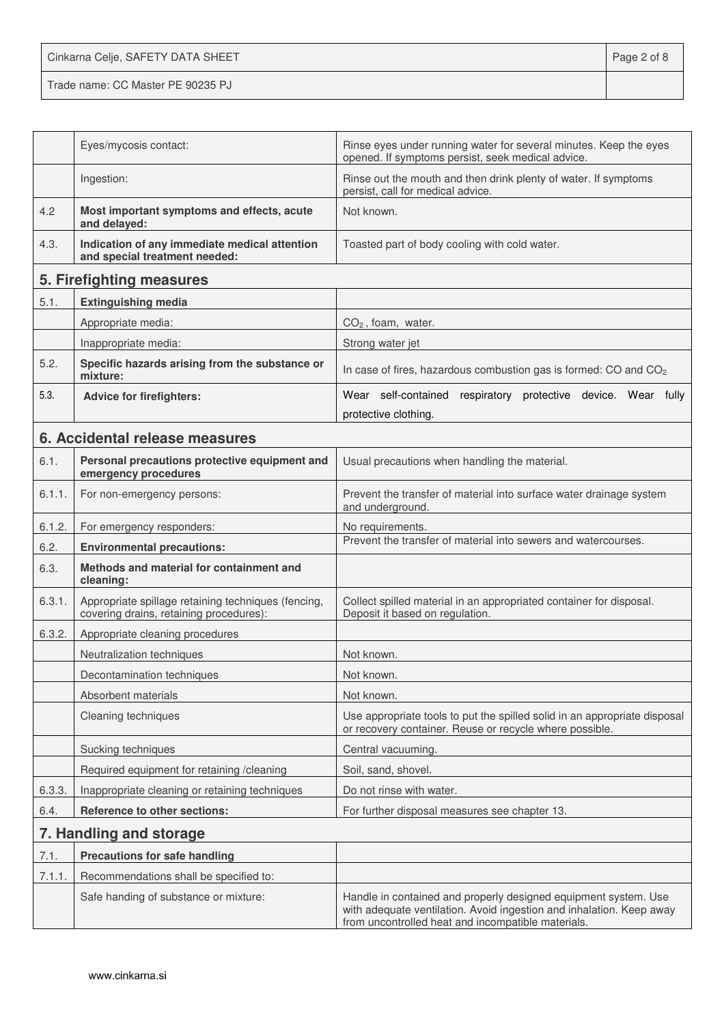Cinkarna Celje, SAFETY DATA SHEET **Page 2 of 8** Trade name: CC Master PE 90235 PJ

|        | Eyes/mycosis contact:                                                                          | Rinse eyes under running water for several minutes. Keep the eyes<br>opened. If symptoms persist, seek medical advice.                                                                        |
|--------|------------------------------------------------------------------------------------------------|-----------------------------------------------------------------------------------------------------------------------------------------------------------------------------------------------|
|        | Ingestion:                                                                                     | Rinse out the mouth and then drink plenty of water. If symptoms<br>persist, call for medical advice.                                                                                          |
| 4.2    | Most important symptoms and effects, acute<br>and delayed:                                     | Not known.                                                                                                                                                                                    |
| 4.3.   | Indication of any immediate medical attention<br>and special treatment needed:                 | Toasted part of body cooling with cold water.                                                                                                                                                 |
|        | 5. Firefighting measures                                                                       |                                                                                                                                                                                               |
| 5.1.   | <b>Extinguishing media</b>                                                                     |                                                                                                                                                                                               |
|        | Appropriate media:                                                                             | $CO2$ , foam, water.                                                                                                                                                                          |
|        | Inappropriate media:                                                                           | Strong water jet                                                                                                                                                                              |
| 5.2.   | Specific hazards arising from the substance or<br>mixture:                                     | In case of fires, hazardous combustion gas is formed: CO and CO <sub>2</sub>                                                                                                                  |
| 5.3.   | <b>Advice for firefighters:</b>                                                                | Wear self-contained respiratory protective device. Wear fully                                                                                                                                 |
|        |                                                                                                | protective clothing.                                                                                                                                                                          |
|        | 6. Accidental release measures                                                                 |                                                                                                                                                                                               |
| 6.1.   | Personal precautions protective equipment and<br>emergency procedures                          | Usual precautions when handling the material.                                                                                                                                                 |
| 6.1.1. | For non-emergency persons:                                                                     | Prevent the transfer of material into surface water drainage system<br>and underground.                                                                                                       |
| 6.1.2. | For emergency responders:                                                                      | No requirements.                                                                                                                                                                              |
| 6.2.   | <b>Environmental precautions:</b>                                                              | Prevent the transfer of material into sewers and watercourses.                                                                                                                                |
| 6.3.   | Methods and material for containment and<br>cleaning:                                          |                                                                                                                                                                                               |
| 6.3.1. | Appropriate spillage retaining techniques (fencing,<br>covering drains, retaining procedures): | Collect spilled material in an appropriated container for disposal.<br>Deposit it based on regulation.                                                                                        |
| 6.3.2. | Appropriate cleaning procedures                                                                |                                                                                                                                                                                               |
|        | Neutralization techniques                                                                      | Not known.                                                                                                                                                                                    |
|        | Decontamination techniques                                                                     | Not known.                                                                                                                                                                                    |
|        | Absorbent materials                                                                            | Not known.                                                                                                                                                                                    |
|        | Cleaning techniques                                                                            | Use appropriate tools to put the spilled solid in an appropriate disposal<br>or recovery container. Reuse or recycle where possible.                                                          |
|        | Sucking techniques                                                                             | Central vacuuming.                                                                                                                                                                            |
|        | Required equipment for retaining /cleaning                                                     | Soil, sand, shovel.                                                                                                                                                                           |
| 6.3.3. | Inappropriate cleaning or retaining techniques                                                 | Do not rinse with water.                                                                                                                                                                      |
| 6.4.   | Reference to other sections:                                                                   | For further disposal measures see chapter 13.                                                                                                                                                 |
|        | 7. Handling and storage                                                                        |                                                                                                                                                                                               |
| 7.1.   | <b>Precautions for safe handling</b>                                                           |                                                                                                                                                                                               |
| 7.1.1. | Recommendations shall be specified to:                                                         |                                                                                                                                                                                               |
|        | Safe handing of substance or mixture:                                                          | Handle in contained and properly designed equipment system. Use<br>with adequate ventilation. Avoid ingestion and inhalation. Keep away<br>from uncontrolled heat and incompatible materials. |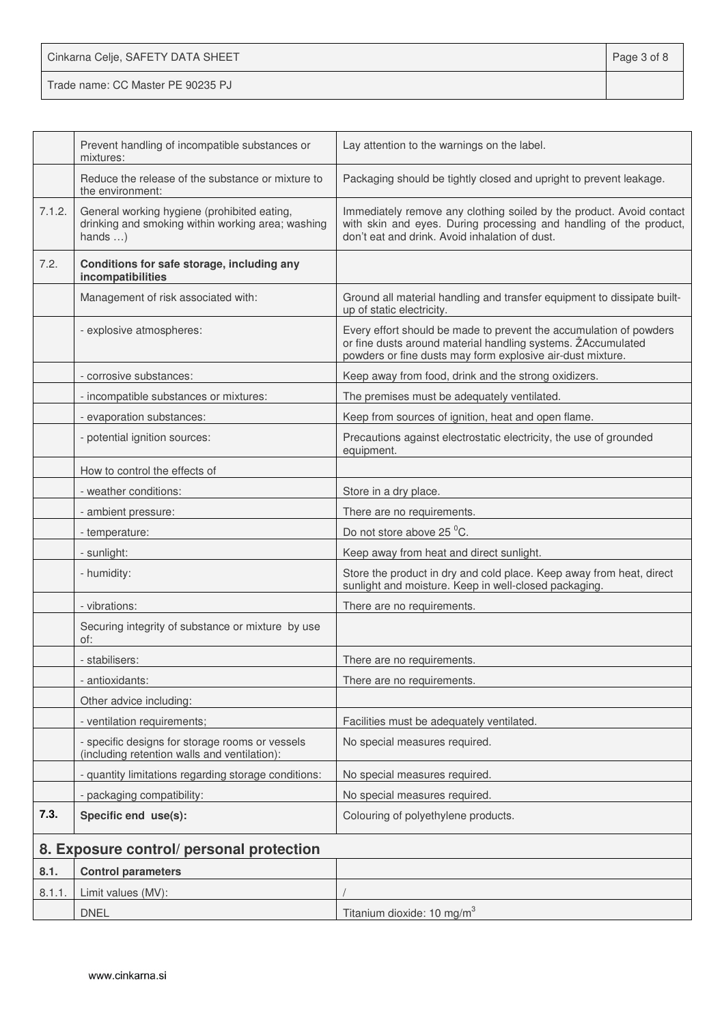| Cinkarna Celje, SAFETY DATA SHEET | Page 3 of 8 |
|-----------------------------------|-------------|
| Trade name: CC Master PE 90235 PJ |             |

|        | Prevent handling of incompatible substances or<br>mixtures:                                                         | Lay attention to the warnings on the label.                                                                                                                                                      |
|--------|---------------------------------------------------------------------------------------------------------------------|--------------------------------------------------------------------------------------------------------------------------------------------------------------------------------------------------|
|        | Reduce the release of the substance or mixture to<br>the environment:                                               | Packaging should be tightly closed and upright to prevent leakage.                                                                                                                               |
| 7.1.2. | General working hygiene (prohibited eating,<br>drinking and smoking within working area; washing<br>hands $\dots$ ) | Immediately remove any clothing soiled by the product. Avoid contact<br>with skin and eyes. During processing and handling of the product,<br>don't eat and drink. Avoid inhalation of dust.     |
| 7.2.   | Conditions for safe storage, including any<br>incompatibilities                                                     |                                                                                                                                                                                                  |
|        | Management of risk associated with:                                                                                 | Ground all material handling and transfer equipment to dissipate built-<br>up of static electricity.                                                                                             |
|        | - explosive atmospheres:                                                                                            | Every effort should be made to prevent the accumulation of powders<br>or fine dusts around material handling systems. ŽAccumulated<br>powders or fine dusts may form explosive air-dust mixture. |
|        | - corrosive substances:                                                                                             | Keep away from food, drink and the strong oxidizers.                                                                                                                                             |
|        | - incompatible substances or mixtures:                                                                              | The premises must be adequately ventilated.                                                                                                                                                      |
|        | - evaporation substances:                                                                                           | Keep from sources of ignition, heat and open flame.                                                                                                                                              |
|        | - potential ignition sources:                                                                                       | Precautions against electrostatic electricity, the use of grounded<br>equipment.                                                                                                                 |
|        | How to control the effects of                                                                                       |                                                                                                                                                                                                  |
|        | - weather conditions:                                                                                               | Store in a dry place.                                                                                                                                                                            |
|        | - ambient pressure:                                                                                                 | There are no requirements.                                                                                                                                                                       |
|        | - temperature:                                                                                                      | Do not store above 25 °C.                                                                                                                                                                        |
|        | - sunlight:                                                                                                         | Keep away from heat and direct sunlight.                                                                                                                                                         |
|        | - humidity:                                                                                                         | Store the product in dry and cold place. Keep away from heat, direct<br>sunlight and moisture. Keep in well-closed packaging.                                                                    |
|        | - vibrations:                                                                                                       | There are no requirements.                                                                                                                                                                       |
|        | Securing integrity of substance or mixture by use<br>of:                                                            |                                                                                                                                                                                                  |
|        | - stabilisers:                                                                                                      | There are no requirements.                                                                                                                                                                       |
|        | - antioxidants:                                                                                                     | There are no requirements.                                                                                                                                                                       |
|        | Other advice including:                                                                                             |                                                                                                                                                                                                  |
|        | - ventilation requirements;                                                                                         | Facilities must be adequately ventilated.                                                                                                                                                        |
|        | - specific designs for storage rooms or vessels<br>(including retention walls and ventilation):                     | No special measures required.                                                                                                                                                                    |
|        | - quantity limitations regarding storage conditions:                                                                | No special measures required.                                                                                                                                                                    |
|        | - packaging compatibility:                                                                                          | No special measures required.                                                                                                                                                                    |
| 7.3.   | Specific end use(s):                                                                                                | Colouring of polyethylene products.                                                                                                                                                              |
|        | 8. Exposure control/ personal protection                                                                            |                                                                                                                                                                                                  |
| 8.1.   | <b>Control parameters</b>                                                                                           |                                                                                                                                                                                                  |
| 8.1.1. | Limit values (MV):                                                                                                  |                                                                                                                                                                                                  |
|        | <b>DNEL</b>                                                                                                         | Titanium dioxide: 10 mg/m <sup>3</sup>                                                                                                                                                           |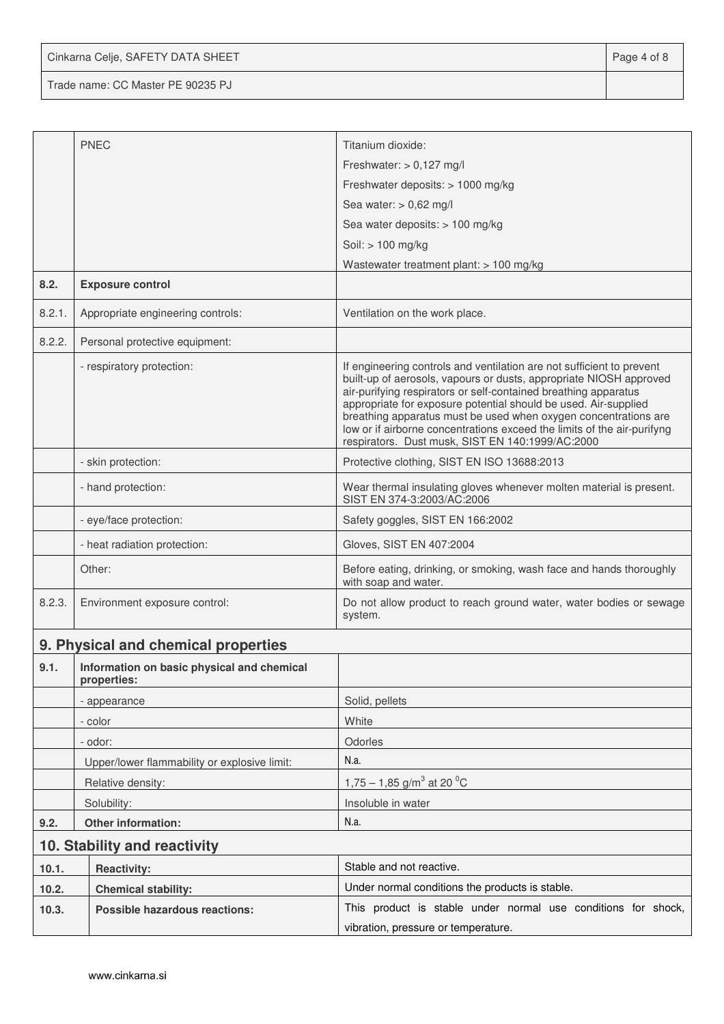Cinkarna Celje, SAFETY DATA SHEET **Page 4 of 8** 

Trade name: CC Master PE 90235 PJ

|        | <b>PNEC</b>                                               | Titanium dioxide:                                                                                                                                                                                                                                                                                                                                                                                                                                                                   |
|--------|-----------------------------------------------------------|-------------------------------------------------------------------------------------------------------------------------------------------------------------------------------------------------------------------------------------------------------------------------------------------------------------------------------------------------------------------------------------------------------------------------------------------------------------------------------------|
|        |                                                           | Freshwater: $> 0,127$ mg/l                                                                                                                                                                                                                                                                                                                                                                                                                                                          |
|        |                                                           | Freshwater deposits: > 1000 mg/kg                                                                                                                                                                                                                                                                                                                                                                                                                                                   |
|        |                                                           | Sea water: $> 0.62$ mg/l                                                                                                                                                                                                                                                                                                                                                                                                                                                            |
|        |                                                           | Sea water deposits: > 100 mg/kg                                                                                                                                                                                                                                                                                                                                                                                                                                                     |
|        |                                                           | Soil: > 100 mg/kg                                                                                                                                                                                                                                                                                                                                                                                                                                                                   |
|        |                                                           | Wastewater treatment plant: $> 100$ mg/kg                                                                                                                                                                                                                                                                                                                                                                                                                                           |
| 8.2.   | <b>Exposure control</b>                                   |                                                                                                                                                                                                                                                                                                                                                                                                                                                                                     |
| 8.2.1. | Appropriate engineering controls:                         | Ventilation on the work place.                                                                                                                                                                                                                                                                                                                                                                                                                                                      |
| 8.2.2. | Personal protective equipment:                            |                                                                                                                                                                                                                                                                                                                                                                                                                                                                                     |
|        | - respiratory protection:                                 | If engineering controls and ventilation are not sufficient to prevent<br>built-up of aerosols, vapours or dusts, appropriate NIOSH approved<br>air-purifying respirators or self-contained breathing apparatus<br>appropriate for exposure potential should be used. Air-supplied<br>breathing apparatus must be used when oxygen concentrations are<br>low or if airborne concentrations exceed the limits of the air-purifyng<br>respirators. Dust musk, SIST EN 140:1999/AC:2000 |
|        | - skin protection:                                        | Protective clothing, SIST EN ISO 13688:2013                                                                                                                                                                                                                                                                                                                                                                                                                                         |
|        | - hand protection:                                        | Wear thermal insulating gloves whenever molten material is present.<br>SIST EN 374-3:2003/AC:2006                                                                                                                                                                                                                                                                                                                                                                                   |
|        | - eye/face protection:                                    | Safety goggles, SIST EN 166:2002                                                                                                                                                                                                                                                                                                                                                                                                                                                    |
|        | - heat radiation protection:                              | Gloves, SIST EN 407:2004                                                                                                                                                                                                                                                                                                                                                                                                                                                            |
|        | Other:                                                    | Before eating, drinking, or smoking, wash face and hands thoroughly<br>with soap and water.                                                                                                                                                                                                                                                                                                                                                                                         |
| 8.2.3. | Environment exposure control:                             | Do not allow product to reach ground water, water bodies or sewage<br>system.                                                                                                                                                                                                                                                                                                                                                                                                       |
|        | 9. Physical and chemical properties                       |                                                                                                                                                                                                                                                                                                                                                                                                                                                                                     |
| 9.1.   | Information on basic physical and chemical<br>properties: |                                                                                                                                                                                                                                                                                                                                                                                                                                                                                     |
|        | - appearance                                              | Solid, pellets                                                                                                                                                                                                                                                                                                                                                                                                                                                                      |
|        | - color                                                   | White                                                                                                                                                                                                                                                                                                                                                                                                                                                                               |
|        | - odor:                                                   | Odorles                                                                                                                                                                                                                                                                                                                                                                                                                                                                             |
|        | Upper/lower flammability or explosive limit:              | N.a.                                                                                                                                                                                                                                                                                                                                                                                                                                                                                |
|        | Relative density:                                         | $1,75 - 1,85$ g/m <sup>3</sup> at 20 <sup>o</sup> C                                                                                                                                                                                                                                                                                                                                                                                                                                 |
|        | Solubility:                                               | Insoluble in water                                                                                                                                                                                                                                                                                                                                                                                                                                                                  |
| 9.2.   | Other information:                                        | N.a.                                                                                                                                                                                                                                                                                                                                                                                                                                                                                |
|        | 10. Stability and reactivity                              |                                                                                                                                                                                                                                                                                                                                                                                                                                                                                     |
| 10.1.  | <b>Reactivity:</b>                                        | Stable and not reactive.                                                                                                                                                                                                                                                                                                                                                                                                                                                            |
| 10.2.  | <b>Chemical stability:</b>                                | Under normal conditions the products is stable.                                                                                                                                                                                                                                                                                                                                                                                                                                     |
| 10.3.  | Possible hazardous reactions:                             | This product is stable under normal use conditions for shock,                                                                                                                                                                                                                                                                                                                                                                                                                       |
|        |                                                           | vibration, pressure or temperature.                                                                                                                                                                                                                                                                                                                                                                                                                                                 |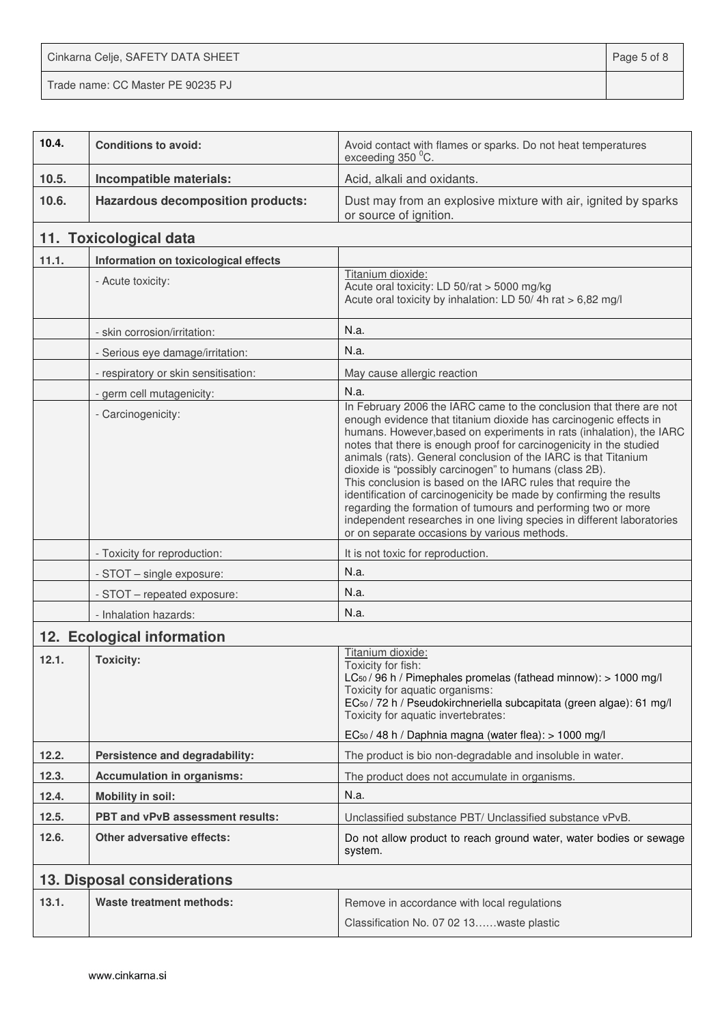Cinkarna Celje, SAFETY DATA SHEET **Page 5 of 8** Trade name: CC Master PE 90235 PJ

| 10.4. | <b>Conditions to avoid:</b>              | Avoid contact with flames or sparks. Do not heat temperatures<br>exceeding 350 °C.                                                                                                                                                                                                                                                                                                                                                                                                                                                                                                                                                                                                                                                                    |  |
|-------|------------------------------------------|-------------------------------------------------------------------------------------------------------------------------------------------------------------------------------------------------------------------------------------------------------------------------------------------------------------------------------------------------------------------------------------------------------------------------------------------------------------------------------------------------------------------------------------------------------------------------------------------------------------------------------------------------------------------------------------------------------------------------------------------------------|--|
| 10.5. | Incompatible materials:                  | Acid, alkali and oxidants.                                                                                                                                                                                                                                                                                                                                                                                                                                                                                                                                                                                                                                                                                                                            |  |
| 10.6. | <b>Hazardous decomposition products:</b> | Dust may from an explosive mixture with air, ignited by sparks<br>or source of ignition.                                                                                                                                                                                                                                                                                                                                                                                                                                                                                                                                                                                                                                                              |  |
|       | 11. Toxicological data                   |                                                                                                                                                                                                                                                                                                                                                                                                                                                                                                                                                                                                                                                                                                                                                       |  |
| 11.1. | Information on toxicological effects     |                                                                                                                                                                                                                                                                                                                                                                                                                                                                                                                                                                                                                                                                                                                                                       |  |
|       | - Acute toxicity:                        | Titanium dioxide:<br>Acute oral toxicity: LD 50/rat > 5000 mg/kg<br>Acute oral toxicity by inhalation: LD 50/4h rat > 6,82 mg/l                                                                                                                                                                                                                                                                                                                                                                                                                                                                                                                                                                                                                       |  |
|       | - skin corrosion/irritation:             | N.a.                                                                                                                                                                                                                                                                                                                                                                                                                                                                                                                                                                                                                                                                                                                                                  |  |
|       | - Serious eye damage/irritation:         | N.a.                                                                                                                                                                                                                                                                                                                                                                                                                                                                                                                                                                                                                                                                                                                                                  |  |
|       | - respiratory or skin sensitisation:     | May cause allergic reaction                                                                                                                                                                                                                                                                                                                                                                                                                                                                                                                                                                                                                                                                                                                           |  |
|       | - germ cell mutagenicity:                | N.a.                                                                                                                                                                                                                                                                                                                                                                                                                                                                                                                                                                                                                                                                                                                                                  |  |
|       | - Carcinogenicity:                       | In February 2006 the IARC came to the conclusion that there are not<br>enough evidence that titanium dioxide has carcinogenic effects in<br>humans. However, based on experiments in rats (inhalation), the IARC<br>notes that there is enough proof for carcinogenicity in the studied<br>animals (rats). General conclusion of the IARC is that Titanium<br>dioxide is "possibly carcinogen" to humans (class 2B).<br>This conclusion is based on the IARC rules that require the<br>identification of carcinogenicity be made by confirming the results<br>regarding the formation of tumours and performing two or more<br>independent researches in one living species in different laboratories<br>or on separate occasions by various methods. |  |
|       | - Toxicity for reproduction:             | It is not toxic for reproduction.                                                                                                                                                                                                                                                                                                                                                                                                                                                                                                                                                                                                                                                                                                                     |  |
|       | - STOT - single exposure:                | N.a.                                                                                                                                                                                                                                                                                                                                                                                                                                                                                                                                                                                                                                                                                                                                                  |  |
|       | - STOT - repeated exposure:              | N.a.                                                                                                                                                                                                                                                                                                                                                                                                                                                                                                                                                                                                                                                                                                                                                  |  |
|       | - Inhalation hazards:                    | N.a.                                                                                                                                                                                                                                                                                                                                                                                                                                                                                                                                                                                                                                                                                                                                                  |  |
|       | 12. Ecological information               |                                                                                                                                                                                                                                                                                                                                                                                                                                                                                                                                                                                                                                                                                                                                                       |  |
| 12.1. | <b>Toxicity:</b>                         | Titanium dioxide:<br>Toxicity for fish:<br>LC <sub>50</sub> / 96 h / Pimephales promelas (fathead minnow): > 1000 mg/l<br>Toxicity for aquatic organisms:<br>EC <sub>50</sub> / 72 h / Pseudokirchneriella subcapitata (green algae): 61 mg/l<br>Toxicity for aquatic invertebrates:<br>EC <sub>50</sub> / 48 h / Daphnia magna (water flea): > 1000 mg/l                                                                                                                                                                                                                                                                                                                                                                                             |  |
| 12.2. | Persistence and degradability:           | The product is bio non-degradable and insoluble in water.                                                                                                                                                                                                                                                                                                                                                                                                                                                                                                                                                                                                                                                                                             |  |
| 12.3. | <b>Accumulation in organisms:</b>        | The product does not accumulate in organisms.                                                                                                                                                                                                                                                                                                                                                                                                                                                                                                                                                                                                                                                                                                         |  |
| 12.4. | <b>Mobility in soil:</b>                 | N.a.                                                                                                                                                                                                                                                                                                                                                                                                                                                                                                                                                                                                                                                                                                                                                  |  |
| 12.5. | PBT and vPvB assessment results:         | Unclassified substance PBT/ Unclassified substance vPvB.                                                                                                                                                                                                                                                                                                                                                                                                                                                                                                                                                                                                                                                                                              |  |
|       | <b>Other adversative effects:</b>        | Do not allow product to reach ground water, water bodies or sewage                                                                                                                                                                                                                                                                                                                                                                                                                                                                                                                                                                                                                                                                                    |  |
| 12.6. |                                          | system.                                                                                                                                                                                                                                                                                                                                                                                                                                                                                                                                                                                                                                                                                                                                               |  |
|       | 13. Disposal considerations              |                                                                                                                                                                                                                                                                                                                                                                                                                                                                                                                                                                                                                                                                                                                                                       |  |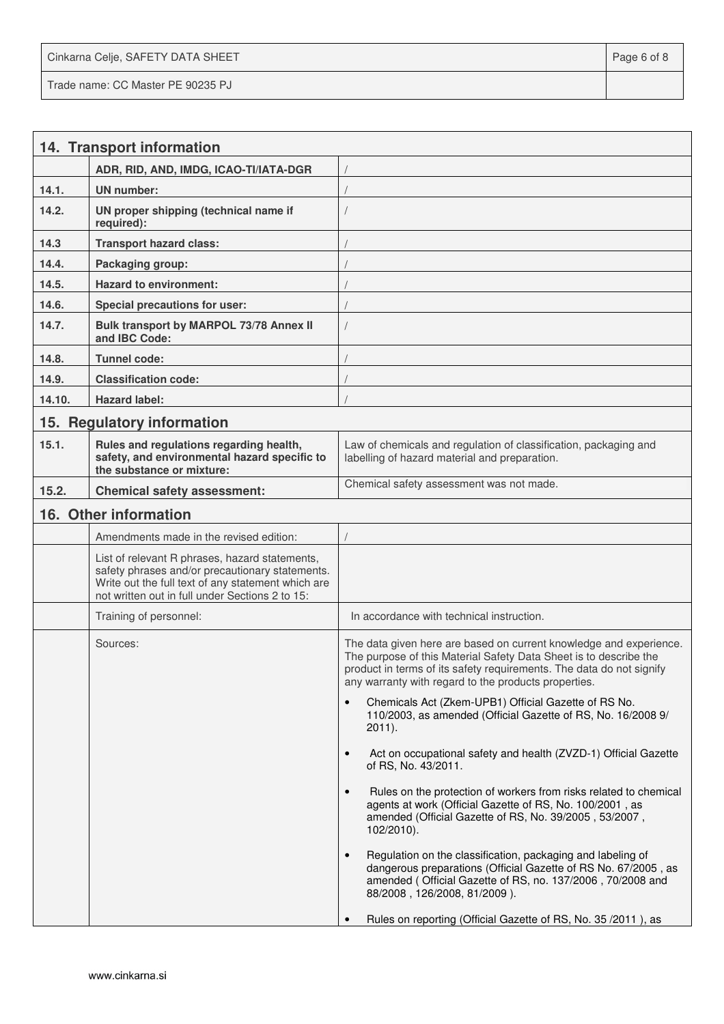Cinkarna Celje, SAFETY DATA SHEET **Page 6 of 8** and 2011 12 and 2012 12 and 2012 12 and 2012 12 and 2012 12 and 201 Trade name: CC Master PE 90235 PJ

|        | 14. Transport information                                                                                                                                                                                  |                                                                                                                                                                                                                                                                         |
|--------|------------------------------------------------------------------------------------------------------------------------------------------------------------------------------------------------------------|-------------------------------------------------------------------------------------------------------------------------------------------------------------------------------------------------------------------------------------------------------------------------|
|        | ADR, RID, AND, IMDG, ICAO-TI/IATA-DGR                                                                                                                                                                      |                                                                                                                                                                                                                                                                         |
| 14.1.  | <b>UN</b> number:                                                                                                                                                                                          |                                                                                                                                                                                                                                                                         |
| 14.2.  | UN proper shipping (technical name if<br>required):                                                                                                                                                        |                                                                                                                                                                                                                                                                         |
| 14.3   | <b>Transport hazard class:</b>                                                                                                                                                                             |                                                                                                                                                                                                                                                                         |
| 14.4.  | Packaging group:                                                                                                                                                                                           |                                                                                                                                                                                                                                                                         |
| 14.5.  | <b>Hazard to environment:</b>                                                                                                                                                                              |                                                                                                                                                                                                                                                                         |
| 14.6.  | <b>Special precautions for user:</b>                                                                                                                                                                       |                                                                                                                                                                                                                                                                         |
| 14.7.  | Bulk transport by MARPOL 73/78 Annex II<br>and IBC Code:                                                                                                                                                   |                                                                                                                                                                                                                                                                         |
| 14.8.  | Tunnel code:                                                                                                                                                                                               |                                                                                                                                                                                                                                                                         |
| 14.9.  | <b>Classification code:</b>                                                                                                                                                                                |                                                                                                                                                                                                                                                                         |
| 14.10. | <b>Hazard label:</b>                                                                                                                                                                                       |                                                                                                                                                                                                                                                                         |
|        | 15. Regulatory information                                                                                                                                                                                 |                                                                                                                                                                                                                                                                         |
| 15.1.  | Rules and regulations regarding health,<br>safety, and environmental hazard specific to<br>the substance or mixture:                                                                                       | Law of chemicals and regulation of classification, packaging and<br>labelling of hazard material and preparation.                                                                                                                                                       |
| 15.2.  | <b>Chemical safety assessment:</b>                                                                                                                                                                         | Chemical safety assessment was not made.                                                                                                                                                                                                                                |
|        | 16. Other information                                                                                                                                                                                      |                                                                                                                                                                                                                                                                         |
|        | Amendments made in the revised edition:                                                                                                                                                                    |                                                                                                                                                                                                                                                                         |
|        | List of relevant R phrases, hazard statements,<br>safety phrases and/or precautionary statements.<br>Write out the full text of any statement which are<br>not written out in full under Sections 2 to 15: |                                                                                                                                                                                                                                                                         |
|        | Training of personnel:                                                                                                                                                                                     | In accordance with technical instruction.                                                                                                                                                                                                                               |
|        | Sources:                                                                                                                                                                                                   | The data given here are based on current knowledge and experience.<br>The purpose of this Material Safety Data Sheet is to describe the<br>product in terms of its safety requirements. The data do not signify<br>any warranty with regard to the products properties. |
|        |                                                                                                                                                                                                            | Chemicals Act (Zkem-UPB1) Official Gazette of RS No.<br>110/2003, as amended (Official Gazette of RS, No. 16/2008 9/<br>$2011$ ).                                                                                                                                       |
|        |                                                                                                                                                                                                            | Act on occupational safety and health (ZVZD-1) Official Gazette<br>$\bullet$<br>of RS, No. 43/2011.                                                                                                                                                                     |
|        |                                                                                                                                                                                                            | Rules on the protection of workers from risks related to chemical<br>$\bullet$<br>agents at work (Official Gazette of RS, No. 100/2001, as<br>amended (Official Gazette of RS, No. 39/2005, 53/2007,<br>102/2010).                                                      |
|        |                                                                                                                                                                                                            | Regulation on the classification, packaging and labeling of<br>$\bullet$<br>dangerous preparations (Official Gazette of RS No. 67/2005, as<br>amended (Official Gazette of RS, no. 137/2006, 70/2008 and<br>88/2008, 126/2008, 81/2009).                                |
|        |                                                                                                                                                                                                            | Rules on reporting (Official Gazette of RS, No. 35/2011), as                                                                                                                                                                                                            |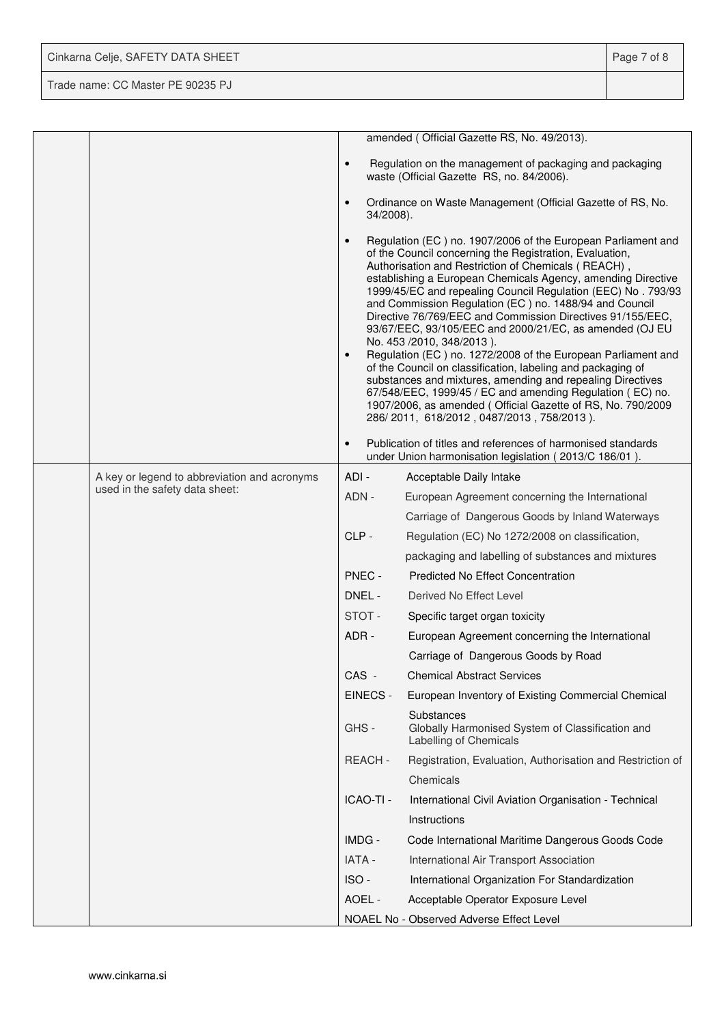| Cinkarna Celje, SAFETY DATA SHEET | Page 7 of 8 |
|-----------------------------------|-------------|
| Trade name: CC Master PE 90235 PJ |             |

|                                              |                        | amended (Official Gazette RS, No. 49/2013).                                                                                                                                                                                                                                                                                                                                                                                                                                                                                                                                                                                                                                                                                                                                                                                                                                                          |
|----------------------------------------------|------------------------|------------------------------------------------------------------------------------------------------------------------------------------------------------------------------------------------------------------------------------------------------------------------------------------------------------------------------------------------------------------------------------------------------------------------------------------------------------------------------------------------------------------------------------------------------------------------------------------------------------------------------------------------------------------------------------------------------------------------------------------------------------------------------------------------------------------------------------------------------------------------------------------------------|
|                                              | $\bullet$              | Regulation on the management of packaging and packaging<br>waste (Official Gazette RS, no. 84/2006).                                                                                                                                                                                                                                                                                                                                                                                                                                                                                                                                                                                                                                                                                                                                                                                                 |
|                                              | $\bullet$<br>34/2008). | Ordinance on Waste Management (Official Gazette of RS, No.                                                                                                                                                                                                                                                                                                                                                                                                                                                                                                                                                                                                                                                                                                                                                                                                                                           |
|                                              | $\bullet$<br>$\bullet$ | Regulation (EC) no. 1907/2006 of the European Parliament and<br>of the Council concerning the Registration, Evaluation,<br>Authorisation and Restriction of Chemicals (REACH),<br>establishing a European Chemicals Agency, amending Directive<br>1999/45/EC and repealing Council Regulation (EEC) No. 793/93<br>and Commission Regulation (EC) no. 1488/94 and Council<br>Directive 76/769/EEC and Commission Directives 91/155/EEC,<br>93/67/EEC, 93/105/EEC and 2000/21/EC, as amended (OJ EU<br>No. 453 /2010, 348/2013).<br>Regulation (EC) no. 1272/2008 of the European Parliament and<br>of the Council on classification, labeling and packaging of<br>substances and mixtures, amending and repealing Directives<br>67/548/EEC, 1999/45 / EC and amending Regulation (EC) no.<br>1907/2006, as amended (Official Gazette of RS, No. 790/2009<br>286/2011, 618/2012, 0487/2013, 758/2013). |
|                                              | $\bullet$              | Publication of titles and references of harmonised standards<br>under Union harmonisation legislation (2013/C 186/01).                                                                                                                                                                                                                                                                                                                                                                                                                                                                                                                                                                                                                                                                                                                                                                               |
| A key or legend to abbreviation and acronyms | ADI -                  | Acceptable Daily Intake                                                                                                                                                                                                                                                                                                                                                                                                                                                                                                                                                                                                                                                                                                                                                                                                                                                                              |
| used in the safety data sheet:               | ADN -                  | European Agreement concerning the International                                                                                                                                                                                                                                                                                                                                                                                                                                                                                                                                                                                                                                                                                                                                                                                                                                                      |
|                                              |                        | Carriage of Dangerous Goods by Inland Waterways                                                                                                                                                                                                                                                                                                                                                                                                                                                                                                                                                                                                                                                                                                                                                                                                                                                      |
|                                              | CLP-                   | Regulation (EC) No 1272/2008 on classification,                                                                                                                                                                                                                                                                                                                                                                                                                                                                                                                                                                                                                                                                                                                                                                                                                                                      |
|                                              |                        | packaging and labelling of substances and mixtures                                                                                                                                                                                                                                                                                                                                                                                                                                                                                                                                                                                                                                                                                                                                                                                                                                                   |
|                                              | PNEC -                 | <b>Predicted No Effect Concentration</b>                                                                                                                                                                                                                                                                                                                                                                                                                                                                                                                                                                                                                                                                                                                                                                                                                                                             |
|                                              | DNEL -                 | Derived No Effect Level                                                                                                                                                                                                                                                                                                                                                                                                                                                                                                                                                                                                                                                                                                                                                                                                                                                                              |
|                                              | STOT-                  | Specific target organ toxicity                                                                                                                                                                                                                                                                                                                                                                                                                                                                                                                                                                                                                                                                                                                                                                                                                                                                       |
|                                              | ADR -                  | European Agreement concerning the International                                                                                                                                                                                                                                                                                                                                                                                                                                                                                                                                                                                                                                                                                                                                                                                                                                                      |
|                                              |                        | Carriage of Dangerous Goods by Road                                                                                                                                                                                                                                                                                                                                                                                                                                                                                                                                                                                                                                                                                                                                                                                                                                                                  |
|                                              | CAS -                  | <b>Chemical Abstract Services</b>                                                                                                                                                                                                                                                                                                                                                                                                                                                                                                                                                                                                                                                                                                                                                                                                                                                                    |
|                                              | EINECS -               | European Inventory of Existing Commercial Chemical                                                                                                                                                                                                                                                                                                                                                                                                                                                                                                                                                                                                                                                                                                                                                                                                                                                   |
|                                              | GHS-                   | Substances<br>Globally Harmonised System of Classification and<br>Labelling of Chemicals                                                                                                                                                                                                                                                                                                                                                                                                                                                                                                                                                                                                                                                                                                                                                                                                             |
|                                              | <b>REACH-</b>          | Registration, Evaluation, Authorisation and Restriction of                                                                                                                                                                                                                                                                                                                                                                                                                                                                                                                                                                                                                                                                                                                                                                                                                                           |
|                                              |                        | Chemicals                                                                                                                                                                                                                                                                                                                                                                                                                                                                                                                                                                                                                                                                                                                                                                                                                                                                                            |
|                                              | ICAO-TI -              | International Civil Aviation Organisation - Technical                                                                                                                                                                                                                                                                                                                                                                                                                                                                                                                                                                                                                                                                                                                                                                                                                                                |
|                                              |                        | Instructions                                                                                                                                                                                                                                                                                                                                                                                                                                                                                                                                                                                                                                                                                                                                                                                                                                                                                         |
|                                              | IMDG -                 | Code International Maritime Dangerous Goods Code                                                                                                                                                                                                                                                                                                                                                                                                                                                                                                                                                                                                                                                                                                                                                                                                                                                     |
|                                              | IATA -                 | International Air Transport Association                                                                                                                                                                                                                                                                                                                                                                                                                                                                                                                                                                                                                                                                                                                                                                                                                                                              |
|                                              | ISO-                   | International Organization For Standardization                                                                                                                                                                                                                                                                                                                                                                                                                                                                                                                                                                                                                                                                                                                                                                                                                                                       |
|                                              | AOEL -                 | Acceptable Operator Exposure Level                                                                                                                                                                                                                                                                                                                                                                                                                                                                                                                                                                                                                                                                                                                                                                                                                                                                   |
|                                              |                        | NOAEL No - Observed Adverse Effect Level                                                                                                                                                                                                                                                                                                                                                                                                                                                                                                                                                                                                                                                                                                                                                                                                                                                             |